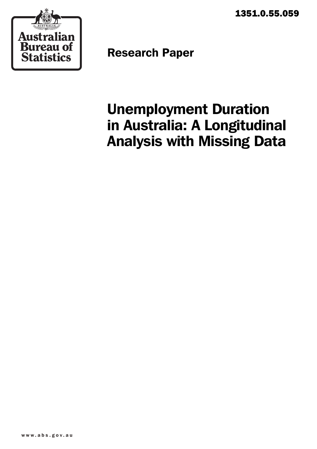1351.0.55.059



Research Paper

# Unemployment Duration in Australia: A Longitudinal Analysis with Missing Data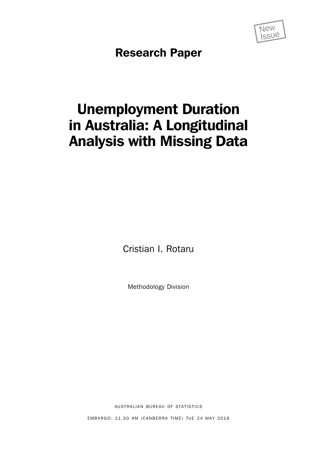

Research Paper

# Unemployment Duration in Australia: A Longitudinal Analysis with Missing Data

Cristian I. Rotaru

Methodology Division

AUSTRALIAN BUREAU OF STATISTICS

EMBARGO: 11.30 AM (CANBERRA TIME) TUE 24 MAY 2016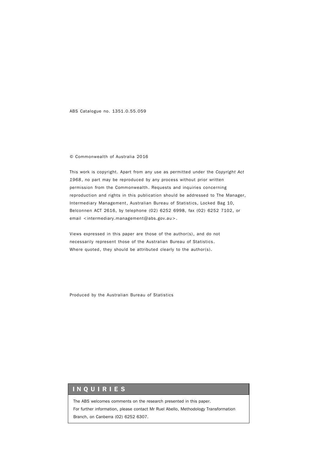ABS Catalogue no. 1351.0.55.059

#### © Commonwealth of Australia 2016

This work is copyright. Apart from any use as permitted under the *Copyright Act 1968*, no part may be reproduced by any process without prior written permission from the Commonwealth. Requests and inquiries concerning reproduction and rights in this publication should be addressed to The Manager, Intermediary Management, Australian Bureau of Statistics, Locked Bag 10, Belconnen ACT 2616, by telephone (02) 6252 6998, fax (02) 6252 7102, or email <intermediary.management@abs.gov.au>.

Views expressed in this paper are those of the author(s), and do not necessarily represent those of the Australian Bureau of Statistics. Where quoted, they should be attributed clearly to the author(s).

Produced by the Australian Bureau of Statistics

## INQUIRIES

The ABS welcomes comments on the research presented in this paper. For further information, please contact Mr Ruel Abello, Methodology Transformation Branch, on Canberra (02) 6252 6307.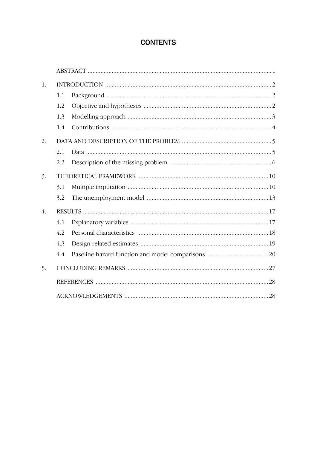# **CONTENTS**

| 1. |     |  |
|----|-----|--|
|    | 1.1 |  |
|    | 1.2 |  |
|    | 1.3 |  |
|    | 1.4 |  |
| 2. |     |  |
|    | 2.1 |  |
|    | 2.2 |  |
| 3. |     |  |
|    | 3.1 |  |
|    | 3.2 |  |
| 4. |     |  |
|    | 4.1 |  |
|    | 4.2 |  |
|    | 4.3 |  |
|    | 4.4 |  |
| 5. |     |  |
|    |     |  |
|    |     |  |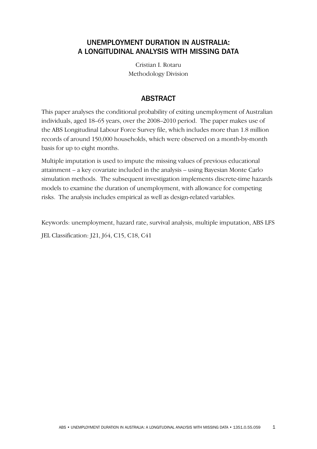# UNEMPLOYMENT DURATION IN AUSTRALIA: A LONGITUDINAL ANALYSIS WITH MISSING DATA

Cristian I. Rotaru Methodology Division

## ABSTRACT

This paper analyses the conditional probability of exiting unemployment of Australian individuals, aged 18–65 years, over the 2008–2010 period. The paper makes use of the ABS Longitudinal Labour Force Survey file, which includes more than 1.8 million records of around 150,000 households, which were observed on a month-by-month basis for up to eight months.

Multiple imputation is used to impute the missing values of previous educational attainment – a key covariate included in the analysis – using Bayesian Monte Carlo simulation methods. The subsequent investigation implements discrete-time hazards models to examine the duration of unemployment, with allowance for competing risks. The analysis includes empirical as well as design-related variables.

Keywords: unemployment, hazard rate, survival analysis, multiple imputation, ABS LFS

JEL Classification: J21, J64, C15, C18, C41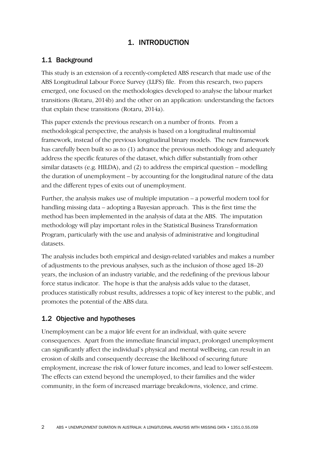# 1. INTRODUCTION

# 1.1 Background

This study is an extension of a recently-completed ABS research that made use of the ABS Longitudinal Labour Force Survey (LLFS) file. From this research, two papers emerged, one focused on the methodologies developed to analyse the labour market transitions (Rotaru, 2014b) and the other on an application: understanding the factors that explain these transitions (Rotaru, 2014a).

This paper extends the previous research on a number of fronts. From a methodological perspective, the analysis is based on a longitudinal multinomial framework, instead of the previous longitudinal binary models. The new framework has carefully been built so as to (1) advance the previous methodology and adequately address the specific features of the dataset, which differ substantially from other similar datasets (e.g. HILDA), and (2) to address the empirical question – modelling the duration of unemployment – by accounting for the longitudinal nature of the data and the different types of exits out of unemployment.

Further, the analysis makes use of multiple imputation – a powerful modern tool for handling missing data – adopting a Bayesian approach. This is the first time the method has been implemented in the analysis of data at the ABS. The imputation methodology will play important roles in the Statistical Business Transformation Program, particularly with the use and analysis of administrative and longitudinal datasets.

The analysis includes both empirical and design-related variables and makes a number of adjustments to the previous analyses, such as the inclusion of those aged 18–20 years, the inclusion of an industry variable, and the redefining of the previous labour force status indicator. The hope is that the analysis adds value to the dataset, produces statistically robust results, addresses a topic of key interest to the public, and promotes the potential of the ABS data.

# 1.2 Objective and hypotheses

Unemployment can be a major life event for an individual, with quite severe consequences. Apart from the immediate financial impact, prolonged unemployment can significantly affect the individual's physical and mental wellbeing, can result in an erosion of skills and consequently decrease the likelihood of securing future employment, increase the risk of lower future incomes, and lead to lower self-esteem. The effects can extend beyond the unemployed, to their families and the wider community, in the form of increased marriage breakdowns, violence, and crime.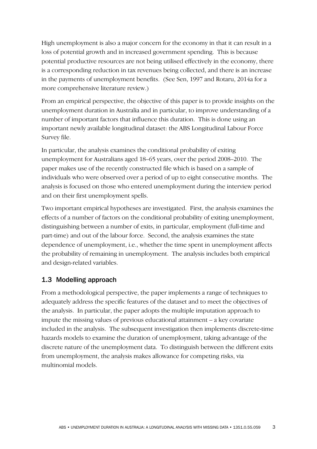High unemployment is also a major concern for the economy in that it can result in a loss of potential growth and in increased government spending. This is because potential productive resources are not being utilised effectively in the economy, there is a corresponding reduction in tax revenues being collected, and there is an increase in the payments of unemployment benefits. (See Sen, 1997 and Rotaru, 2014a for a more comprehensive literature review.)

From an empirical perspective, the objective of this paper is to provide insights on the unemployment duration in Australia and in particular, to improve understanding of a number of important factors that influence this duration. This is done using an important newly available longitudinal dataset: the ABS Longitudinal Labour Force Survey file.

In particular, the analysis examines the conditional probability of exiting unemployment for Australians aged 18–65 years, over the period 2008–2010. The paper makes use of the recently constructed file which is based on a sample of individuals who were observed over a period of up to eight consecutive months. The analysis is focused on those who entered unemployment during the interview period and on their first unemployment spells.

Two important empirical hypotheses are investigated. First, the analysis examines the effects of a number of factors on the conditional probability of exiting unemployment, distinguishing between a number of exits, in particular, employment (full-time and part-time) and out of the labour force. Second, the analysis examines the state dependence of unemployment, i.e., whether the time spent in unemployment affects the probability of remaining in unemployment. The analysis includes both empirical and design-related variables.

## 1.3 Modelling approach

From a methodological perspective, the paper implements a range of techniques to adequately address the specific features of the dataset and to meet the objectives of the analysis. In particular, the paper adopts the multiple imputation approach to impute the missing values of previous educational attainment – a key covariate included in the analysis. The subsequent investigation then implements discrete-time hazards models to examine the duration of unemployment, taking advantage of the discrete nature of the unemployment data. To distinguish between the different exits from unemployment, the analysis makes allowance for competing risks, via multinomial models.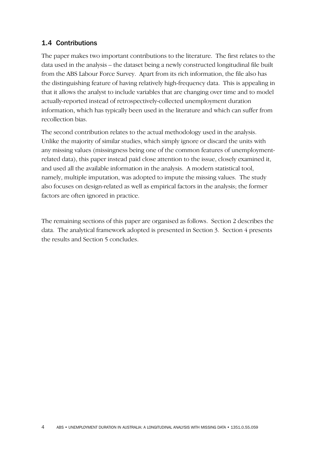## 1.4 Contributions

The paper makes two important contributions to the literature. The first relates to the data used in the analysis – the dataset being a newly constructed longitudinal file built from the ABS Labour Force Survey. Apart from its rich information, the file also has the distinguishing feature of having relatively high-frequency data. This is appealing in that it allows the analyst to include variables that are changing over time and to model actually-reported instead of retrospectively-collected unemployment duration information, which has typically been used in the literature and which can suffer from recollection bias.

The second contribution relates to the actual methodology used in the analysis. Unlike the majority of similar studies, which simply ignore or discard the units with any missing values (missingness being one of the common features of unemploymentrelated data), this paper instead paid close attention to the issue, closely examined it, and used all the available information in the analysis. A modern statistical tool, namely, multiple imputation, was adopted to impute the missing values. The study also focuses on design-related as well as empirical factors in the analysis; the former factors are often ignored in practice.

The remaining sections of this paper are organised as follows. Section 2 describes the data. The analytical framework adopted is presented in Section 3. Section 4 presents the results and Section 5 concludes.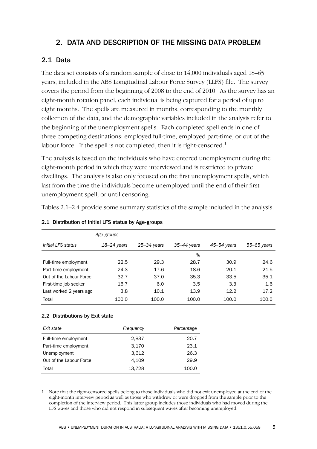# 2. DATA AND DESCRIPTION OF THE MISSING DATA PROBLEM

# 2.1 Data

The data set consists of a random sample of close to 14,000 individuals aged 18–65 years, included in the ABS Longitudinal Labour Force Survey (LLFS) file. The survey covers the period from the beginning of 2008 to the end of 2010. As the survey has an eight-month rotation panel, each individual is being captured for a period of up to eight months. The spells are measured in months, corresponding to the monthly collection of the data, and the demographic variables included in the analysis refer to the beginning of the unemployment spells. Each completed spell ends in one of three competing destinations: employed full-time, employed part-time, or out of the labour force. If the spell is not completed, then it is right-censored.<sup>1</sup>

The analysis is based on the individuals who have entered unemployment during the eight-month period in which they were interviewed and is restricted to private dwellings. The analysis is also only focused on the first unemployment spells, which last from the time the individuals become unemployed until the end of their first unemployment spell, or until censoring.

Tables 2.1–2.4 provide some summary statistics of the sample included in the analysis.

|                         | Age-groups      |                 |               |                 |               |
|-------------------------|-----------------|-----------------|---------------|-----------------|---------------|
| Initial LFS status      | $18 - 24$ years | $25 - 34$ years | $35-44$ years | $45 - 54$ years | $55-65$ years |
|                         |                 |                 | %             |                 |               |
| Full-time employment    | 22.5            | 29.3            | 28.7          | 30.9            | 24.6          |
| Part-time employment    | 24.3            | 17.6            | 18.6          | 20.1            | 21.5          |
| Out of the Labour Force | 32.7            | 37.0            | 35.3          | 33.5            | 35.1          |
| First-time job seeker   | 16.7            | 6.0             | 3.5           | 3.3             | 1.6           |
| Last worked 2 years ago | 3.8             | 10.1            | 13.9          | 12.2            | 17.2          |
| Total                   | 100.0           | 100.0           | 100.0         | 100.0           | 100.0         |

#### 2.1 Distribution of Initial LFS status by Age-groups

### 2.2 Distributions by Exit state

-

| Exit state              | Frequency | Percentage |
|-------------------------|-----------|------------|
| Full-time employment    | 2,837     | 20.7       |
| Part-time employment    | 3,170     | 23.1       |
| Unemployment            | 3,612     | 26.3       |
| Out of the Labour Force | 4,109     | 29.9       |
| Total                   | 13,728    | 100.0      |

<sup>1</sup> Note that the right-censored spells belong to those individuals who did not exit unemployed at the end of the eight-month interview period as well as those who withdrew or were dropped from the sample prior to the completion of the interview period. This latter group includes those individuals who had moved during the LFS waves and those who did not respond in subsequent waves after becoming unemployed.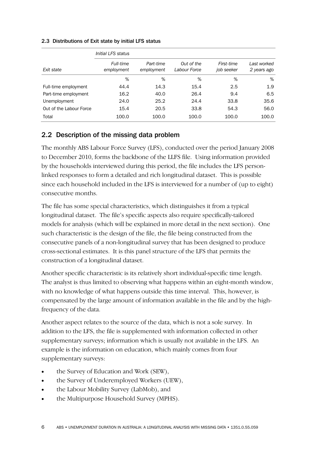|                         | Initial LFS status      |                         |                            |                          |                            |
|-------------------------|-------------------------|-------------------------|----------------------------|--------------------------|----------------------------|
| Exit state              | Full-time<br>employment | Part-time<br>employment | Out of the<br>Labour Force | First-time<br>job seeker | Last worked<br>2 years ago |
|                         | %                       | %                       | %                          | %                        | %                          |
| Full-time employment    | 44.4                    | 14.3                    | 15.4                       | 2.5                      | 1.9                        |
| Part-time employment    | 16.2                    | 40.0                    | 26.4                       | 9.4                      | 6.5                        |
| Unemployment            | 24.0                    | 25.2                    | 24.4                       | 33.8                     | 35.6                       |
| Out of the Labour Force | 15.4                    | 20.5                    | 33.8                       | 54.3                     | 56.0                       |
| Total                   | 100.0                   | 100.0                   | 100.0                      | 100.0                    | 100.0                      |

#### 2.3 Distributions of Exit state by initial LFS status

## 2.2 Description of the missing data problem

The monthly ABS Labour Force Survey (LFS), conducted over the period January 2008 to December 2010, forms the backbone of the LLFS file. Using information provided by the households interviewed during this period, the file includes the LFS personlinked responses to form a detailed and rich longitudinal dataset. This is possible since each household included in the LFS is interviewed for a number of (up to eight) consecutive months.

The file has some special characteristics, which distinguishes it from a typical longitudinal dataset. The file's specific aspects also require specifically-tailored models for analysis (which will be explained in more detail in the next section). One such characteristic is the design of the file, the file being constructed from the consecutive panels of a non-longitudinal survey that has been designed to produce cross-sectional estimates. It is this panel structure of the LFS that permits the construction of a longitudinal dataset.

Another specific characteristic is its relatively short individual-specific time length. The analyst is thus limited to observing what happens within an eight-month window, with no knowledge of what happens outside this time interval. This, however, is compensated by the large amount of information available in the file and by the highfrequency of the data.

Another aspect relates to the source of the data, which is not a sole survey. In addition to the LFS, the file is supplemented with information collected in other supplementary surveys; information which is usually not available in the LFS. An example is the information on education, which mainly comes from four supplementary surveys:

- the Survey of Education and Work (SEW),
- the Survey of Underemployed Workers (UEW),
- the Labour Mobility Survey (LabMob), and
- the Multipurpose Household Survey (MPHS).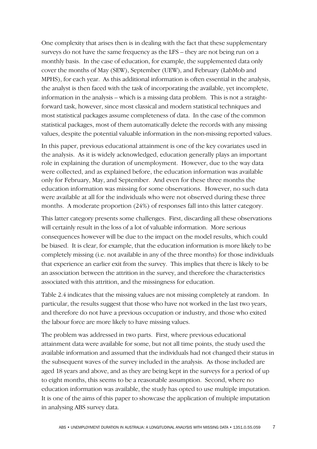One complexity that arises then is in dealing with the fact that these supplementary surveys do not have the same frequency as the LFS – they are not being run on a monthly basis. In the case of education, for example, the supplemented data only cover the months of May (SEW), September (UEW), and February (LabMob and MPHS), for each year. As this additional information is often essential in the analysis, the analyst is then faced with the task of incorporating the available, yet incomplete, information in the analysis – which is a missing data problem. This is not a straightforward task, however, since most classical and modern statistical techniques and most statistical packages assume completeness of data. In the case of the common statistical packages, most of them automatically delete the records with any missing values, despite the potential valuable information in the non-missing reported values.

In this paper, previous educational attainment is one of the key covariates used in the analysis. As it is widely acknowledged, education generally plays an important role in explaining the duration of unemployment. However, due to the way data were collected, and as explained before, the education information was available only for February, May, and September. And even for these three months the education information was missing for some observations. However, no such data were available at all for the individuals who were not observed during these three months. A moderate proportion (24%) of responses fall into this latter category.

This latter category presents some challenges. First, discarding all these observations will certainly result in the loss of a lot of valuable information. More serious consequences however will be due to the impact on the model results, which could be biased. It is clear, for example, that the education information is more likely to be completely missing (i.e. not available in any of the three months) for those individuals that experience an earlier exit from the survey. This implies that there is likely to be an association between the attrition in the survey, and therefore the characteristics associated with this attrition, and the missingness for education.

Table 2.4 indicates that the missing values are not missing completely at random. In particular, the results suggest that those who have not worked in the last two years, and therefore do not have a previous occupation or industry, and those who exited the labour force are more likely to have missing values.

The problem was addressed in two parts. First, where previous educational attainment data were available for some, but not all time points, the study used the available information and assumed that the individuals had not changed their status in the subsequent waves of the survey included in the analysis. As those included are aged 18 years and above, and as they are being kept in the surveys for a period of up to eight months, this seems to be a reasonable assumption. Second, where no education information was available, the study has opted to use multiple imputation. It is one of the aims of this paper to showcase the application of multiple imputation in analysing ABS survey data.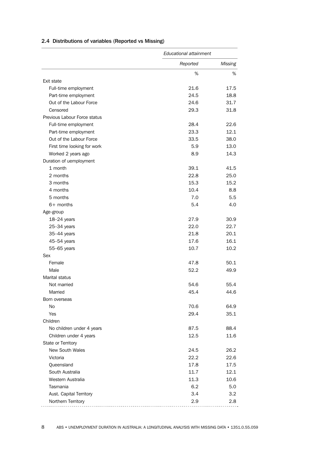|                              | <b>Educational attainment</b> |                |  |
|------------------------------|-------------------------------|----------------|--|
|                              | Reported                      | <b>Missing</b> |  |
|                              | $\%$                          | %              |  |
| Exit state                   |                               |                |  |
| Full-time employment         | 21.6                          | 17.5           |  |
| Part-time employment         | 24.5                          | 18.8           |  |
| Out of the Labour Force      | 24.6                          | 31.7           |  |
| Censored                     | 29.3                          | 31.8           |  |
| Previous Labour Force status |                               |                |  |
| Full-time employment         | 28.4                          | 22.6           |  |
| Part-time employment         | 23.3                          | 12.1           |  |
| Out of the Labour Force      | 33.5                          | 38.0           |  |
| First time looking for work  | 5.9                           | 13.0           |  |
| Worked 2 years ago           | 8.9                           | 14.3           |  |
| Duration of uemployment      |                               |                |  |
| 1 month                      | 39.1                          | 41.5           |  |
| 2 months                     | 22.8                          | 25.0           |  |
| 3 months                     | 15.3                          | 15.2           |  |
| 4 months                     | 10.4                          | 8.8            |  |
| 5 months                     | 7.0                           | 5.5            |  |
| $6+$ months                  | 5.4                           | 4.0            |  |
| Age-group                    |                               |                |  |
| $18 - 24$ years              | 27.9                          | 30.9           |  |
| $25 - 34$ years              | 22.0                          | 22.7           |  |
| 35-44 years                  | 21.8                          | 20.1           |  |
| 45-54 years                  | 17.6                          | 16.1           |  |
| 55-65 years                  | 10.7                          | 10.2           |  |
| Sex                          |                               |                |  |
| Female                       | 47.8                          | 50.1           |  |
| Male                         | 52.2                          | 49.9           |  |
| Marital status               |                               |                |  |
| Not married                  | 54.6                          | 55.4           |  |
| Married                      | 45.4                          | 44.6           |  |
| Born overseas                |                               |                |  |
| No                           | 70.6                          | 64.9           |  |
| Yes<br>Children              | 29.4                          | 35.1           |  |
|                              |                               |                |  |
| No children under 4 years    | 87.5                          | 88.4           |  |
| Children under 4 years       | 12.5                          | 11.6           |  |
| State or Territory           |                               |                |  |
| New South Wales              | 24.5                          | 26.2           |  |
| Victoria                     | 22.2                          | 22.6           |  |
| Queensland                   | 17.8                          | 17.5           |  |
| South Australia              | 11.7                          | 12.1           |  |
| Western Australia            | 11.3                          | 10.6           |  |
| Tasmania                     | 6.2                           | 5.0            |  |
| Aust. Capital Territory      | 3.4                           | 3.2            |  |
| Northern Territory           | 2.9                           | 2.8            |  |

#### 2.4 Distributions of variables (Reported vs Missing)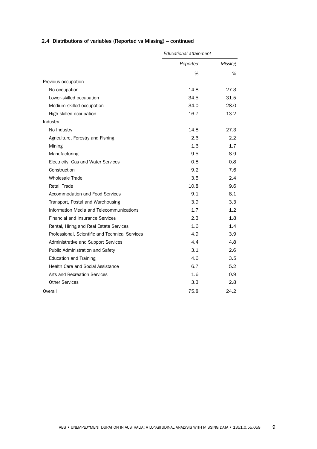|                                                 | Educational attainment |                   |
|-------------------------------------------------|------------------------|-------------------|
|                                                 | Reported               | Missing           |
|                                                 | %                      | %                 |
| Previous occupation                             |                        |                   |
| No occupation                                   | 14.8                   | 27.3              |
| Lower-skilled occupation                        | 34.5                   | 31.5              |
| Medium-skilled occupation                       | 34.0                   | 28.0              |
| High-skilled occupation                         | 16.7                   | 13.2 <sup>2</sup> |
| Industry                                        |                        |                   |
| No Industry                                     | 14.8                   | 27.3              |
| Agriculture, Forestry and Fishing               | 2.6                    | 2.2               |
| Mining                                          | 1.6                    | 1.7               |
| Manufacturing                                   | 9.5                    | 8.9               |
| Electricity, Gas and Water Services             | 0.8                    | 0.8               |
| Construction                                    | 9.2                    | 7.6               |
| <b>Wholesale Trade</b>                          | 3.5                    | 2.4               |
| <b>Retail Trade</b>                             | 10.8                   | 9.6               |
| Accommodation and Food Services                 | 9.1                    | 8.1               |
| Transport, Postal and Warehousing               | 3.9                    | 3.3               |
| Information Media and Telecommunications        | 1.7                    | 1.2 <sub>2</sub>  |
| <b>Financial and Insurance Services</b>         | 2.3                    | 1.8               |
| Rental, Hiring and Real Estate Services         | 1.6                    | 1.4               |
| Professional, Scientific and Technical Services | 4.9                    | 3.9               |
| Administrative and Support Services             | 4.4                    | 4.8               |
| Public Administration and Safety                | 3.1                    | 2.6               |
| <b>Education and Training</b>                   | 4.6                    | 3.5               |
| <b>Health Care and Social Assistance</b>        | 6.7                    | 5.2               |
| Arts and Recreation Services                    | 1.6                    | 0.9               |
| <b>Other Services</b>                           | 3.3                    | 2.8               |
| Overall                                         | 75.8                   | 24.2              |

## 2.4 Distributions of variables (Reported vs Missing) – continued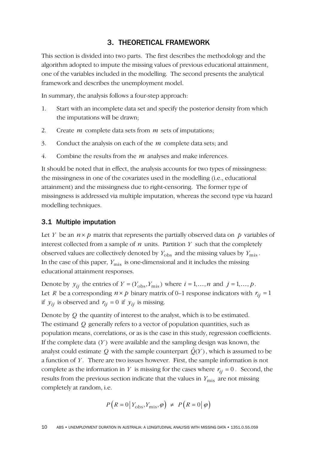## 3. THEORETICAL FRAMEWORK

This section is divided into two parts. The first describes the methodology and the algorithm adopted to impute the missing values of previous educational attainment, one of the variables included in the modelling. The second presents the analytical framework and describes the unemployment model.

In summary, the analysis follows a four-step approach:

- 1. Start with an incomplete data set and specify the posterior density from which the imputations will be drawn;
- 2. Create *m* complete data sets from *m* sets of imputations;
- 3. Conduct the analysis on each of the *m* complete data sets; and
- 4. Combine the results from the *m* analyses and make inferences.

It should be noted that in effect, the analysis accounts for two types of missingness: the missingness in one of the covariates used in the modelling (i.e., educational attainment) and the missingness due to right-censoring. The former type of missingness is addressed via multiple imputation, whereas the second type via hazard modelling techniques.

## 3.1 Multiple imputation

Let *Y* be an  $n \times p$  matrix that represents the partially observed data on  $p$  variables of interest collected from a sample of  $n$  units. Partition  $Y$  such that the completely observed values are collectively denoted by  $Y_{obs}$  and the missing values by  $Y_{mis}$ . In the case of this paper,  $Y_{\text{mis}}$  is one-dimensional and it includes the missing educational attainment responses.

Denote by  $y_{ij}$  the entries of  $Y = (Y_{\text{obs}}, Y_{\text{mis}})$  where  $i = 1, ..., n$  and  $j = 1, ..., p$ . Let *R* be a corresponding  $n \times p$  binary matrix of 0–1 response indicators with  $r_{ii} = 1$ if  $y_{ij}$  is observed and  $r_{ij} = 0$  if  $y_{ij}$  is missing.

Denote by *Q* the quantity of interest to the analyst, which is to be estimated. The estimand *Q* generally refers to a vector of population quantities, such as population means, correlations, or as is the case in this study, regression coefficients. If the complete data  $(Y)$  were available and the sampling design was known, the analyst could estimate  $Q$  with the sample counterpart  $\hat{Q}(Y)$  , which is assumed to be a function of *Y* . There are two issues however. First, the sample information is not complete as the information in *Y* is missing for the cases where  $r_{ii} = 0$ . Second, the results from the previous section indicate that the values in  $Y_{\text{mis}}$  are not missing completely at random, i.e.

$$
P\left(R=0\,\big|\,Y_{\text{obs}}, Y_{\text{mis}}, \varphi\right) \neq P\left(R=0\,\big|\,\varphi\right)
$$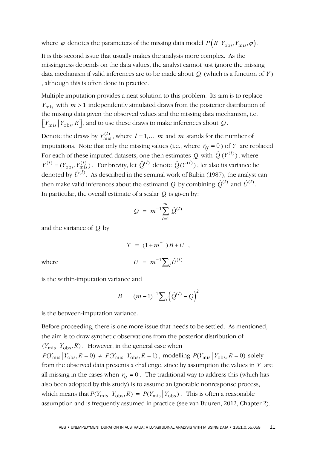where  $\varphi$  denotes the parameters of the missing data model  $P(R|Y_{\text{obs}}, Y_{\text{mis}}, \varphi)$ .

It is this second issue that usually makes the analysis more complex. As the missingness depends on the data values, the analyst cannot just ignore the missing data mechanism if valid inferences are to be made about *Q* (which is a function of *Y* ) , although this is often done in practice.

Multiple imputation provides a neat solution to this problem. Its aim is to replace  $Y_{\text{mis}}$  with  $m > 1$  independently simulated draws from the posterior distribution of the missing data given the observed values and the missing data mechanism, i.e.  $\lceil Y_{\text{mis}} \rceil$   $\lceil Y_{\text{obs}}, R \rceil$ , and to use these draws to make inferences about Q.

Denote the draws by  $Y_{\text{mis}}^{(l)}$ , where  $l = 1, ..., m$  and  $m$  stands for the number of imputations. Note that only the missing values (i.e., where  $r_{ij} = 0$ ) of *Y* are replaced. For each of these imputed datasets, one then estimates Q with  $\hat{Q}(Y^{(l)})$ , where  $Y^{(l)} = (Y_{\text{obs}}, Y_{\text{mis}}^{(l)})$ . For brevity, let  $\hat{Q}^{(l)}$  denote  $\hat{Q}(Y^{(l)})$ ; let also its variance be denoted by  $\hat{U}^{(l)}$ . As described in the seminal work of Rubin (1987), the analyst can then make valid inferences about the estimand *Q* by combining  $\hat{Q}^{(l)}$  and  $\hat{U}^{(l)}$ . In particular, the overall estimate of a scalar *Q* is given by:

$$
\bar{Q} = m^{-1} \sum_{l=1}^{m} \hat{Q}^{(l)}
$$

and the variance of  $\overline{Q}$  by

$$
T \ = \ (1+m^{-1}) \, B + \overline{U} \ ,
$$
 where 
$$
\overline{U} \ = \ m^{-1} \sum_l \hat{U}^{(l)}
$$

is the within-imputation variance and

$$
B = (m-1)^{-1} \sum_{l} \left( \hat{Q}^{(l)} - \overline{Q} \right)^2
$$

is the between-imputation variance.

Before proceeding, there is one more issue that needs to be settled. As mentioned, the aim is to draw synthetic observations from the posterior distribution of  $(Y_{\text{mis}} | Y_{\text{obs}}, R)$ . However, in the general case when  $P(Y_{\text{mis}} | Y_{\text{obs}} , R = 0) \neq P(Y_{\text{mis}} | Y_{\text{obs}} , R = 1)$ , modelling  $P(Y_{\text{mis}} | Y_{\text{obs}} , R = 0)$  solely from the observed data presents a challenge, since by assumption the values in *Y* are all missing in the cases when  $r_{ij} = 0$ . The traditional way to address this (which has also been adopted by this study) is to assume an ignorable nonresponse process, which means that  $P(Y_{\text{mis}} | Y_{\text{obs}} | R) = P(Y_{\text{mis}} | Y_{\text{obs}})$ . This is often a reasonable assumption and is frequently assumed in practice (see van Buuren, 2012, Chapter 2).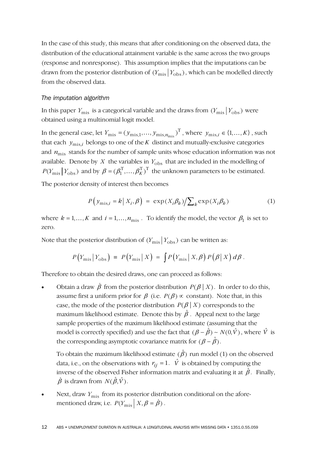In the case of this study, this means that after conditioning on the observed data, the distribution of the educational attainment variable is the same across the two groups (response and nonresponse). This assumption implies that the imputations can be drawn from the posterior distribution of  $(Y_{\text{mis}} | Y_{\text{obs}})$ , which can be modelled directly from the observed data.

### *The imputation algorithm*

In this paper  $Y_{\text{mis}}$  is a categorical variable and the draws from  $(Y_{\text{mis}} | Y_{\text{obs}})$  were obtained using a multinomial logit model.

In the general case, let  $Y_{\text{mis}} = (y_{\text{mis},1},..., y_{\text{mis},n_{\text{mis}}})^{\text{T}}$ , where  $y_{\text{mis},i} \in \{1,...,K\}$ , such that each  $y_{\text{mis},i}$  belongs to one of the *K* distinct and mutually-exclusive categories and  $n_{\text{mis}}$  stands for the number of sample units whose education information was not available. Denote by *X* the variables in  $Y_{\text{obs}}$  that are included in the modelling of  $P(Y_{\text{mis}} | Y_{\text{obs}})$  and by  $\beta = (\beta_1^T, ..., \beta_K^T)^T$  the unknown parameters to be estimated.

The posterior density of interest then becomes

$$
P\left(y_{\text{mis},i} = k \,|\, X_i, \beta\right) \ = \ \exp\left(X_i \beta_k\right) \middle/ \sum_k \exp\left(X_i \beta_k\right) \tag{1}
$$

where  $k = 1, ..., K$  and  $i = 1, ..., n_{\text{mis}}$ . To identify the model, the vector  $\beta_1$  is set to zero.

Note that the posterior distribution of  $(Y_{\text{mis}} | Y_{\text{obs}})$  can be written as:

$$
P(Y_{\rm mis} | Y_{\rm obs}) = P(Y_{\rm mis} | X) = \int P(Y_{\rm mis} | X, \beta) P(\beta | X) d\beta.
$$

Therefore to obtain the desired draws, one can proceed as follows:

• Obtain a draw  $\dot{\beta}$  from the posterior distribution  $P(\beta | X)$ . In order to do this, assume first a uniform prior for  $\beta$  (i.e.  $P(\beta) \propto$  constant). Note that, in this case, the mode of the posterior distribution  $P(\beta | X)$  corresponds to the maximum likelihood estimate. Denote this by  $\hat{\beta}$  . Appeal next to the large sample properties of the maximum likelihood estimate (assuming that the model is correctly specified) and use the fact that  $(\beta - \hat{\beta}) \sim N(0, \hat{V})$ , where  $\hat{V}$  is the corresponding asymptotic covariance matrix for  $(\beta - \hat{\beta})$ .

To obtain the maximum likelihood estimate  $(\hat{\beta})$  run model (1) on the observed data, i.e., on the observations with  $r_{ij} = 1$ .  $\hat{V}$  is obtained by computing the inverse of the observed Fisher information matrix and evaluating it at  $\hat{\beta}$  . Finally,  $\dot{\beta}$  is drawn from  $N(\hat{\beta}, \hat{V})$ .

Next, draw  $Y_{\text{mis}}$  from its posterior distribution conditional on the aforementioned draw, i.e.  $P(Y_{\text{mis}} | X, \beta = \dot{\beta})$ .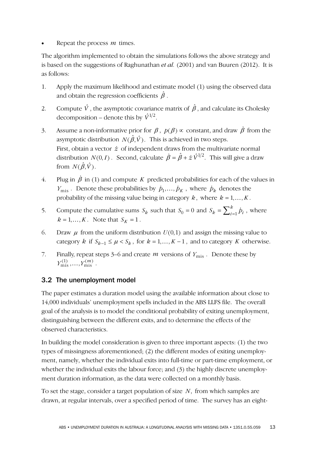Repeat the process *m* times.

The algorithm implemented to obtain the simulations follows the above strategy and is based on the suggestions of Raghunathan *et al.* (2001) and van Buuren (2012). It is as follows:

- 1. Apply the maximum likelihood and estimate model (1) using the observed data and obtain the regression coefficients  $\hat{\beta}$  .
- 2. Compute  $\hat{V}$  , the asymptotic covariance matrix of  $\hat{\beta}$  , and calculate its Cholesky decomposition – denote this by  $\hat{V}^{1/2}$ .
- 3. Assume a non-informative prior for  $\beta$ ,  $p(\beta) \propto$  constant, and draw  $\dot{\beta}$  from the asymptotic distribution  $N(\hat{\beta}, \hat{V})$ . This is achieved in two steps. First, obtain a vector  $\dot{z}$  of independent draws from the multivariate normal distribution  $N(0, I)$ . Second, calculate  $\dot{\beta} = \hat{\beta} + \dot{z} \hat{V}^{1/2}$ . This will give a draw from  $N(\hat{\beta}, \hat{V})$ .
- 4. Plug in  $\dot{\beta}$  in (1) and compute *K* predicted probabilities for each of the values in  $Y_{\text{mis}}$ . Denote these probabilities by  $\dot{p}_1, \dots, \dot{p}_K$ , where  $\dot{p}_k$  denotes the probability of the missing value being in category  $k$ , where  $k = 1, \ldots, K$ .
- 5. Compute the cumulative sums  $S_k$  such that  $S_0 = 0$  and  $S_k = \sum_{i=1}^k \dot{p}_i$ , where  $k = 1, ..., K$ . Note that  $S_K = 1$ .
- 6. Draw  $\mu$  from the uniform distribution  $U(0,1)$  and assign the missing value to category *k* if  $S_{k-1} \le \mu < S_k$ , for  $k = 1, ..., K - 1$ , and to category *K* otherwise.
- 7. Finally, repeat steps 3–6 and create  $m$  versions of  $Y_{\text{mis}}$ . Denote these by  $Y_{\text{mis}}^{(1)}, \ldots, Y_{\text{mis}}^{(m)}$ .

# 3.2 The unemployment model

The paper estimates a duration model using the available information about close to 14,000 individuals' unemployment spells included in the ABS LLFS file. The overall goal of the analysis is to model the conditional probability of exiting unemployment, distinguishing between the different exits, and to determine the effects of the observed characteristics.

In building the model consideration is given to three important aspects: (1) the two types of missingness aforementioned; (2) the different modes of exiting unemployment, namely, whether the individual exits into full-time or part-time employment, or whether the individual exits the labour force; and (3) the highly discrete unemployment duration information, as the data were collected on a monthly basis.

To set the stage, consider a target population of size N, from which samples are drawn, at regular intervals, over a specified period of time. The survey has an eight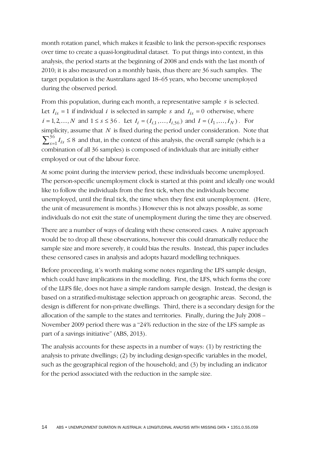month rotation panel, which makes it feasible to link the person-specific responses over time to create a quasi-longitudinal dataset. To put things into context, in this analysis, the period starts at the beginning of 2008 and ends with the last month of 2010; it is also measured on a monthly basis, thus there are 36 such samples. The target population is the Australians aged 18–65 years, who become unemployed during the observed period.

From this population, during each month, a representative sample *s* is selected. Let  $I_{is} = 1$  if individual *i* is selected in sample *s* and  $I_{is} = 0$  otherwise, where  $i = 1, 2, ..., N$  and  $1 \le s \le 36$ . Let  $I_i = (I_{i,1}, ..., I_{i,36})$  and  $I = (I_1, ..., I_N)$ . For simplicity, assume that *N* is fixed during the period under consideration. Note that  $\sum_{s=1}^{36} I_{is} \leq 8$  and that, in the context of this analysis, the overall sample (which is a combination of all 36 samples) is composed of individuals that are initially either employed or out of the labour force.

At some point during the interview period, these individuals become unemployed. The person-specific unemployment clock is started at this point and ideally one would like to follow the individuals from the first tick, when the individuals become unemployed, until the final tick, the time when they first exit unemployment. (Here, the unit of measurement is months.) However this is not always possible, as some individuals do not exit the state of unemployment during the time they are observed.

There are a number of ways of dealing with these censored cases. A naïve approach would be to drop all these observations, however this could dramatically reduce the sample size and more severely, it could bias the results. Instead, this paper includes these censored cases in analysis and adopts hazard modelling techniques.

Before proceeding, it's worth making some notes regarding the LFS sample design, which could have implications in the modelling. First, the LFS, which forms the core of the LLFS file, does not have a simple random sample design. Instead, the design is based on a stratified-multistage selection approach on geographic areas. Second, the design is different for non-private dwellings. Third, there is a secondary design for the allocation of the sample to the states and territories. Finally, during the July 2008 – November 2009 period there was a "24% reduction in the size of the LFS sample as part of a savings initiative" (ABS, 2013).

The analysis accounts for these aspects in a number of ways: (1) by restricting the analysis to private dwellings; (2) by including design-specific variables in the model, such as the geographical region of the household; and (3) by including an indicator for the period associated with the reduction in the sample size.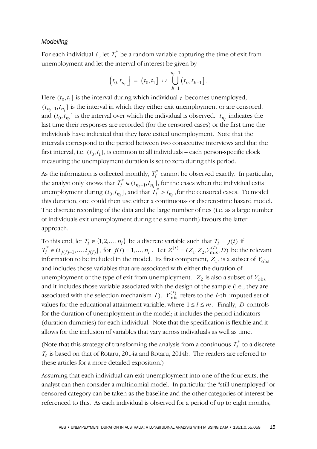#### *Modelling*

For each individual  $i$ , let  $T_i^*$  be a random variable capturing the time of exit from unemployment and let the interval of interest be given by

$$
\left(t_0,t_{n_i}\right] = \left(t_0,t_1\right] \cup \bigcup_{k=1}^{n_i-1} \left(t_k,t_{k+1}\right].
$$

Here  $(t_0, t_1)$  is the interval during which individual *i* becomes unemployed,  $(t_{n_i-1}, t_{n_i}]$  is the interval in which they either exit unemployment or are censored, and  $(t_0, t_{n_i}]$  is the interval over which the individual is observed.  $t_{n_i}$  indicates the last time their responses are recorded (for the censored cases) or the first time the individuals have indicated that they have exited unemployment. Note that the intervals correspond to the period between two consecutive interviews and that the first interval, i.e.  $(t_0, t_1]$ , is common to all individuals – each person-specific clock measuring the unemployment duration is set to zero during this period.

As the information is collected monthly,  $T_i^*$  cannot be observed exactly. In particular, the analyst only knows that  $T_i^* \in (t_{n_i-1}, t_{n_i}]$ , for the cases when the individual exits unemployment during  $(t_0, t_{n_i}]$ , and that  $T_i^* > t_{n_i}$ , for the censored cases. To model this duration, one could then use either a continuous- or discrete-time hazard model. The discrete recording of the data and the large number of ties (i.e. as a large number of individuals exit unemployment during the same month) favours the latter approach.

To this end, let  $T_i \in \{1, 2, ..., n_i\}$  be a discrete variable such that  $T_i = j(i)$  if  $T_i^* \in (t_{j(i)-1},...,t_{j(i)})$ , for  $j(i) = 1,...,n_i$ . Let  $Z^{(l)} = (Z_1, Z_2, Y_{\text{mis}}^{(l)}, D)$  be the relevant information to be included in the model. Its first component,  $Z_1$ , is a subset of  $Y_{obs}$ and includes those variables that are associated with either the duration of unemployment or the type of exit from unemployment.  $Z_2$  is also a subset of  $Y_{obs}$ and it includes those variable associated with the design of the sample (i.e., they are associated with the selection mechanism *I*).  $Y_{\text{mis}}^{(l)}$  refers to the *l*-th imputed set of values for the educational attainment variable, where  $1 \le l \le m$ . Finally, *D* controls for the duration of unemployment in the model; it includes the period indicators (duration dummies) for each individual. Note that the specification is flexible and it allows for the inclusion of variables that vary across individuals as well as time.

(Note that this strategy of transforming the analysis from a continuous  $T_i^*$  to a discrete *Ti* is based on that of Rotaru, 2014a and Rotaru, 2014b. The readers are referred to these articles for a more detailed exposition.)

Assuming that each individual can exit unemployment into one of the four exits, the analyst can then consider a multinomial model. In particular the "still unemployed" or censored category can be taken as the baseline and the other categories of interest be referenced to this. As each individual is observed for a period of up to eight months,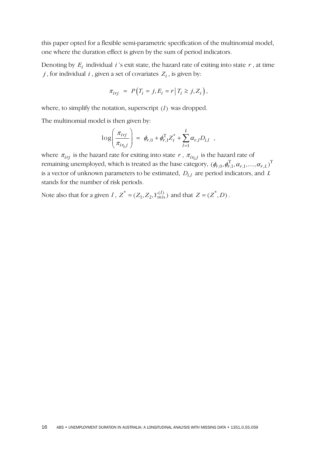this paper opted for a flexible semi-parametric specification of the multinomial model, one where the duration effect is given by the sum of period indicators.

Denoting by  $E_i$  individual  $i$ 's exit state, the hazard rate of exiting into state  $r$ , at time  $j$ , for individual  $i$ , given a set of covariates  $Z_i$ , is given by:

$$
\pi_{irj} = P\big(T_i = j, E_i = r \,|\, T_i \geq j, Z_i\big),
$$

where, to simplify the notation, superscript  $(l)$  was dropped.

The multinomial model is then given by:

$$
\log \left( \frac{\pi_{i\eta j}}{\pi_{i\eta_j j}} \right) = \phi_{r,0} + \phi_{r,1}^{\mathrm{T}} Z_i^* + \sum_{l=1}^L \alpha_{r,l} D_{i,l} ,
$$

where  $\pi_{irj}$  is the hazard rate for exiting into state *r*,  $\pi_{ir_{0}j}$  is the hazard rate of remaining unemployed, which is treated as the base category,  $(\phi_{r,0}, \phi_{r,1}^T, \alpha_{r,1}, \ldots, \alpha_{r,L})^T$ is a vector of unknown parameters to be estimated,  $D_{i,l}$  are period indicators, and  $L$ stands for the number of risk periods.

Note also that for a given  $l$  ,  $Z^* = (Z_1, Z_2, Y_{\text{mis}}^{(l)})$  and that  $Z = (Z^*, D)$ .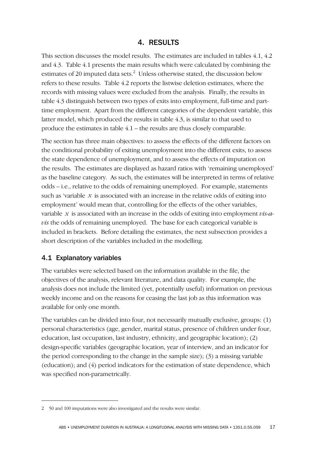## 4. RESULTS

This section discusses the model results. The estimates are included in tables 4.1, 4.2 and 4.3. Table 4.1 presents the main results which were calculated by combining the estimates of 20 imputed data sets.<sup>2</sup> Unless otherwise stated, the discussion below refers to these results. Table 4.2 reports the listwise deletion estimates, where the records with missing values were excluded from the analysis. Finally, the results in table 4.3 distinguish between two types of exits into employment, full-time and parttime employment. Apart from the different categories of the dependent variable, this latter model, which produced the results in table 4.3, is similar to that used to produce the estimates in table 4.1 – the results are thus closely comparable.

The section has three main objectives: to assess the effects of the different factors on the conditional probability of exiting unemployment into the different exits, to assess the state dependence of unemployment, and to assess the effects of imputation on the results. The estimates are displayed as hazard ratios with 'remaining unemployed' as the baseline category. As such, the estimates will be interpreted in terms of relative odds – i.e., relative to the odds of remaining unemployed. For example, statements such as 'variable  $x$  is associated with an increase in the relative odds of exiting into employment' would mean that, controlling for the effects of the other variables, variable *x* is associated with an increase in the odds of exiting into employment *vis-avis* the odds of remaining unemployed. The base for each categorical variable is included in brackets. Before detailing the estimates, the next subsection provides a short description of the variables included in the modelling.

## 4.1 Explanatory variables

-

The variables were selected based on the information available in the file, the objectives of the analysis, relevant literature, and data quality. For example, the analysis does not include the limited (yet, potentially useful) information on previous weekly income and on the reasons for ceasing the last job as this information was available for only one month.

The variables can be divided into four, not necessarily mutually exclusive, groups: (1) personal characteristics (age, gender, marital status, presence of children under four, education, last occupation, last industry, ethnicity, and geographic location); (2) design-specific variables (geographic location, year of interview, and an indicator for the period corresponding to the change in the sample size); (3) a missing variable (education); and (4) period indicators for the estimation of state dependence, which was specified non-parametrically.

<sup>2 50</sup> and 100 imputations were also investigated and the results were similar.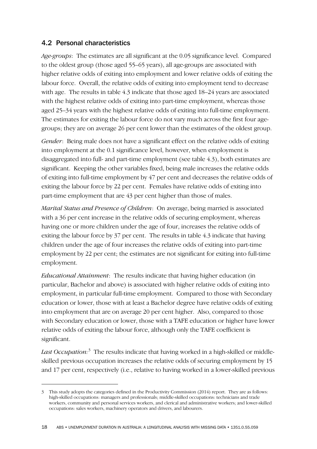## 4.2 Personal characteristics

-

*Age-groups*: The estimates are all significant at the 0.05 significance level. Compared to the oldest group (those aged 55–65 years), all age-groups are associated with higher relative odds of exiting into employment and lower relative odds of exiting the labour force. Overall, the relative odds of exiting into employment tend to decrease with age. The results in table 4.3 indicate that those aged 18–24 years are associated with the highest relative odds of exiting into part-time employment, whereas those aged 25–34 years with the highest relative odds of exiting into full-time employment. The estimates for exiting the labour force do not vary much across the first four agegroups; they are on average 26 per cent lower than the estimates of the oldest group.

*Gender*: Being male does not have a significant effect on the relative odds of exiting into employment at the 0.1 significance level, however, when employment is disaggregated into full- and part-time employment (see table 4.3), both estimates are significant. Keeping the other variables fixed, being male increases the relative odds of exiting into full-time employment by 47 per cent and decreases the relative odds of exiting the labour force by 22 per cent. Females have relative odds of exiting into part-time employment that are 43 per cent higher than those of males.

*Marital Status and Presence of Children*: On average, being married is associated with a 36 per cent increase in the relative odds of securing employment, whereas having one or more children under the age of four, increases the relative odds of exiting the labour force by 37 per cent. The results in table 4.3 indicate that having children under the age of four increases the relative odds of exiting into part-time employment by 22 per cent; the estimates are not significant for exiting into full-time employment.

*Educational Attainment*: The results indicate that having higher education (in particular, Bachelor and above) is associated with higher relative odds of exiting into employment, in particular full-time employment. Compared to those with Secondary education or lower, those with at least a Bachelor degree have relative odds of exiting into employment that are on average 20 per cent higher. Also, compared to those with Secondary education or lower, those with a TAFE education or higher have lower relative odds of exiting the labour force, although only the TAFE coefficient is significant.

*Last Occupation:*<sup>3</sup> The results indicate that having worked in a high-skilled or middleskilled previous occupation increases the relative odds of securing employment by 15 and 17 per cent, respectively (i.e., relative to having worked in a lower-skilled previous

<sup>3</sup> This study adopts the categories defined in the Productivity Commission (2014) report. They are as follows: high-skilled occupations: managers and professionals; middle-skilled occupations: technicians and trade workers, community and personal services workers, and clerical and administrative workers; and lower-skilled occupations: sales workers, machinery operators and drivers, and labourers.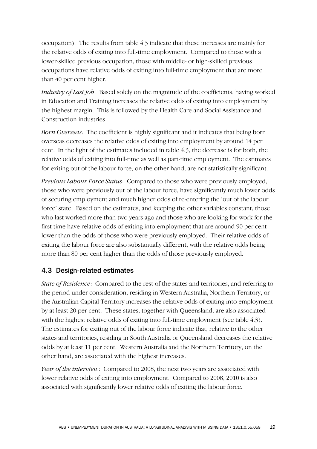occupation). The results from table 4.3 indicate that these increases are mainly for the relative odds of exiting into full-time employment. Compared to those with a lower-skilled previous occupation, those with middle- or high-skilled previous occupations have relative odds of exiting into full-time employment that are more than 40 per cent higher.

*Industry of Last Job*: Based solely on the magnitude of the coefficients, having worked in Education and Training increases the relative odds of exiting into employment by the highest margin. This is followed by the Health Care and Social Assistance and Construction industries.

*Born Overseas*: The coefficient is highly significant and it indicates that being born overseas decreases the relative odds of exiting into employment by around 14 per cent. In the light of the estimates included in table 4.3, the decrease is for both, the relative odds of exiting into full-time as well as part-time employment. The estimates for exiting out of the labour force, on the other hand, are not statistically significant.

*Previous Labour Force Status*: Compared to those who were previously employed, those who were previously out of the labour force, have significantly much lower odds of securing employment and much higher odds of re-entering the 'out of the labour force' state. Based on the estimates, and keeping the other variables constant, those who last worked more than two years ago and those who are looking for work for the first time have relative odds of exiting into employment that are around 90 per cent lower than the odds of those who were previously employed. Their relative odds of exiting the labour force are also substantially different, with the relative odds being more than 80 per cent higher than the odds of those previously employed.

## 4.3 Design-related estimates

*State of Residence*: Compared to the rest of the states and territories, and referring to the period under consideration, residing in Western Australia, Northern Territory, or the Australian Capital Territory increases the relative odds of exiting into employment by at least 20 per cent. These states, together with Queensland, are also associated with the highest relative odds of exiting into full-time employment (see table 4.3). The estimates for exiting out of the labour force indicate that, relative to the other states and territories, residing in South Australia or Queensland decreases the relative odds by at least 11 per cent. Western Australia and the Northern Territory, on the other hand, are associated with the highest increases.

*Year of the interview*: Compared to 2008, the next two years are associated with lower relative odds of exiting into employment. Compared to 2008, 2010 is also associated with significantly lower relative odds of exiting the labour force.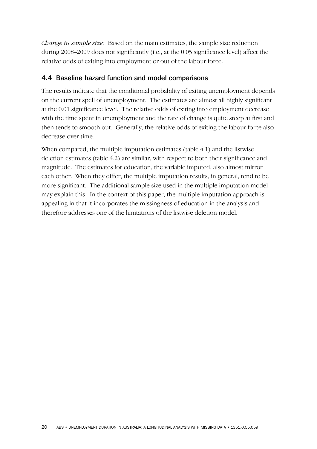*Change in sample size*: Based on the main estimates, the sample size reduction during 2008–2009 does not significantly (i.e., at the 0.05 significance level) affect the relative odds of exiting into employment or out of the labour force.

## 4.4 Baseline hazard function and model comparisons

The results indicate that the conditional probability of exiting unemployment depends on the current spell of unemployment. The estimates are almost all highly significant at the 0.01 significance level. The relative odds of exiting into employment decrease with the time spent in unemployment and the rate of change is quite steep at first and then tends to smooth out. Generally, the relative odds of exiting the labour force also decrease over time.

When compared, the multiple imputation estimates (table 4.1) and the listwise deletion estimates (table 4.2) are similar, with respect to both their significance and magnitude. The estimates for education, the variable imputed, also almost mirror each other. When they differ, the multiple imputation results, in general, tend to be more significant. The additional sample size used in the multiple imputation model may explain this. In the context of this paper, the multiple imputation approach is appealing in that it incorporates the missingness of education in the analysis and therefore addresses one of the limitations of the listwise deletion model.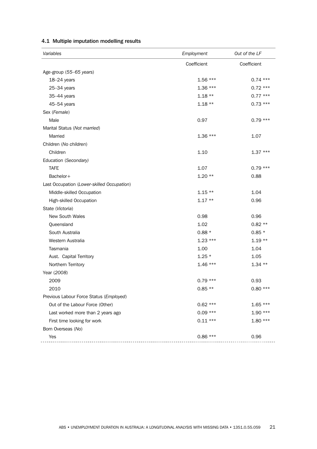| Variables                                  | Employment  | Out of the LF |
|--------------------------------------------|-------------|---------------|
|                                            | Coefficient | Coefficient   |
| Age-group (55-65 years)                    |             |               |
| 18-24 years                                | $1.56***$   | $0.74***$     |
| $25 - 34$ years                            | $1.36***$   | $0.72***$     |
| 35-44 years                                | $1.18**$    | $0.77***$     |
| 45-54 years                                | $1.18**$    | $0.73***$     |
| Sex (Female)                               |             |               |
| Male                                       | 0.97        | $0.79***$     |
| Marital Status (Not married)               |             |               |
| Married                                    | $1.36***$   | 1.07          |
| Children (No children)                     |             |               |
| Children                                   | 1.10        | $1.37***$     |
| Education (Secondary)                      |             |               |
| <b>TAFE</b>                                | 1.07        | $0.79***$     |
| Bachelor+                                  | $1.20**$    | 0.88          |
| Last Occupation (Lower-skilled Occupation) |             |               |
| Middle-skilled Occupation                  | $1.15**$    | 1.04          |
| High-skilled Occupation                    | $1.17**$    | 0.96          |
| State (Victoria)                           |             |               |
| New South Wales                            | 0.98        | 0.96          |
| Queensland                                 | 1.02        | $0.82**$      |
| South Australia                            | $0.88*$     | $0.85*$       |
| Western Australia                          | $1.23***$   | $1.19**$      |
| Tasmania                                   | 1.00        | 1.04          |
| Aust. Capital Territory                    | $1.25*$     | 1.05          |
| Northern Territory                         | $1.46***$   | $1.34**$      |
| Year (2008)                                |             |               |
| 2009                                       | $0.79***$   | 0.93          |
| 2010                                       | $0.85**$    | $0.80***$     |
| Previous Labour Force Status (Employed)    |             |               |
| Out of the Labour Force (Other)            | $0.62***$   | $1.65***$     |
| Last worked more than 2 years ago          | $0.09***$   | $1.90***$     |
| First time looking for work                | $0.11***$   | $1.80***$     |
| Born Overseas (No)                         |             |               |
| Yes                                        | $0.86***$   | 0.96          |

#### 4.1 Multiple imputation modelling results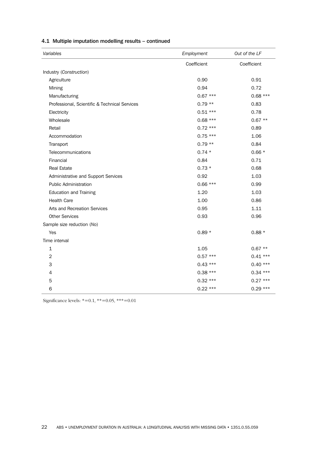| Variables                                     | Employment  | Out of the LF |
|-----------------------------------------------|-------------|---------------|
|                                               | Coefficient | Coefficient   |
| Industry (Construction)                       |             |               |
| Agriculture                                   | 0.90        | 0.91          |
| Mining                                        | 0.94        | 0.72          |
| Manufacturing                                 | $0.67***$   | $0.68***$     |
| Professional, Scientific & Technical Services | $0.79**$    | 0.83          |
| Electricity                                   | $0.51***$   | 0.78          |
| Wholesale                                     | $0.68***$   | $0.67**$      |
| Retail                                        | $0.72***$   | 0.89          |
| Accommodation                                 | $0.75***$   | 1.06          |
| Transport                                     | $0.79**$    | 0.84          |
| Telecommunications                            | $0.74*$     | $0.66*$       |
| Financial                                     | 0.84        | 0.71          |
| <b>Real Estate</b>                            | $0.73*$     | 0.68          |
| Administrative and Support Services           | 0.92        | 1.03          |
| <b>Public Administration</b>                  | $0.66***$   | 0.99          |
| <b>Education and Training</b>                 | 1.20        | 1.03          |
| <b>Health Care</b>                            | 1.00        | 0.86          |
| Arts and Recreation Services                  | 0.95        | 1.11          |
| <b>Other Services</b>                         | 0.93        | 0.96          |
| Sample size reduction (No)                    |             |               |
| Yes                                           | $0.89*$     | $0.88*$       |
| Time interval                                 |             |               |
| $\mathbf 1$                                   | 1.05        | $0.67**$      |
| $\overline{2}$                                | $0.57***$   | $0.41***$     |
| 3                                             | $0.43***$   | $0.40***$     |
| 4                                             | $0.38***$   | $0.34***$     |
| 5                                             | $0.32***$   | $0.27***$     |
| 6                                             | $0.22***$   | $0.29***$     |

#### 4.1 Multiple imputation modelling results – continued

Significance levels: \*=0.1, \*\*=0.05, \*\*\*=0.01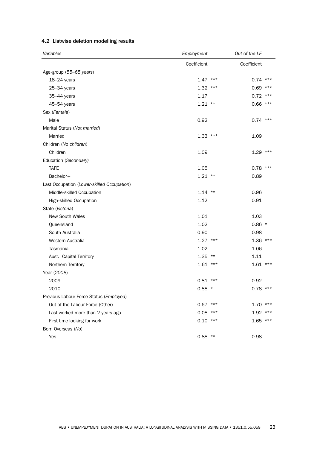| Variables                                  | Employment  | Out of the LF |
|--------------------------------------------|-------------|---------------|
|                                            | Coefficient | Coefficient   |
| Age-group (55-65 years)                    |             |               |
| 18-24 years                                | $1.47***$   | $0.74$ ***    |
| $25 - 34$ years                            | $1.32$ ***  | $0.69$ ***    |
| 35-44 years                                | 1.17        | $0.72$ ***    |
| 45-54 years                                | $1.21$ **   | $0.66$ ***    |
| Sex (Female)                               |             |               |
| Male                                       | 0.92        | $0.74$ ***    |
| Marital Status (Not married)               |             |               |
| Married                                    | $1.33$ ***  | 1.09          |
| Children (No children)                     |             |               |
| Children                                   | 1.09        | $1.29$ ***    |
| Education (Secondary)                      |             |               |
| <b>TAFE</b>                                | 1.05        | $0.78$ ***    |
| Bachelor+                                  | $1.21$ **   | 0.89          |
| Last Occupation (Lower-skilled Occupation) |             |               |
| Middle-skilled Occupation                  | $1.14$ **   | 0.96          |
| High-skilled Occupation                    | 1.12        | 0.91          |
| State (Victoria)                           |             |               |
| New South Wales                            | 1.01        | 1.03          |
| Queensland                                 | 1.02        | $0.86*$       |
| South Australia                            | 0.90        | 0.98          |
| Western Australia                          | $1.27$ ***  | $1.36$ ***    |
| Tasmania                                   | 1.02        | 1.06          |
| Aust. Capital Territory                    | $1.35$ **   | 1.11          |
| Northern Territory                         | $1.61$ ***  | $1.61$ ***    |
| Year (2008)                                |             |               |
| 2009                                       | $0.81$ ***  | 0.92          |
| 2010                                       | $0.88*$     | $0.78$ ***    |
| Previous Labour Force Status (Employed)    |             |               |
| Out of the Labour Force (Other)            | $0.67$ ***  | $1.70$ ***    |
| Last worked more than 2 years ago          | 0.08<br>*** | $1.92$ ***    |
| First time looking for work                | $0.10$ ***  | $1.65$ ***    |
| Born Overseas (No)                         |             |               |
| Yes                                        | $0.88$ **   | 0.98          |

#### 4.2 Listwise deletion modelling results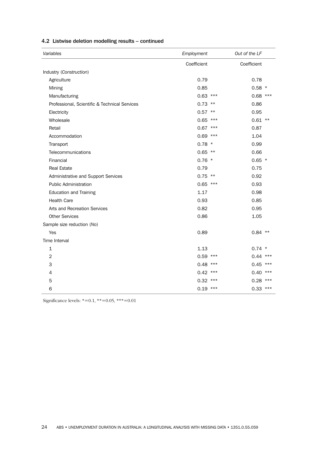| Variables                                     | Employment    | Out of the LF |
|-----------------------------------------------|---------------|---------------|
|                                               | Coefficient   | Coefficient   |
| Industry (Construction)                       |               |               |
| Agriculture                                   | 0.79          | 0.78          |
| Mining                                        | 0.85          | $0.58$ *      |
| Manufacturing                                 | 0.63<br>***   | $0.68$ ***    |
| Professional, Scientific & Technical Services | $0.73$ **     | 0.86          |
| Electricity                                   | $0.57$ **     | 0.95          |
| Wholesale                                     | 0.65<br>$***$ | $0.61$ **     |
| Retail                                        | 0.67<br>***   | 0.87          |
| Accommodation                                 | 0.69<br>***   | 1.04          |
| Transport                                     | $0.78$ *      | 0.99          |
| Telecommunications                            | $0.65$ **     | 0.66          |
| Financial                                     | $0.76$ *      | $0.65$ *      |
| <b>Real Estate</b>                            | 0.79          | 0.75          |
| Administrative and Support Services           | $0.75$ **     | 0.92          |
| <b>Public Administration</b>                  | $0.65$ ***    | 0.93          |
| <b>Education and Training</b>                 | 1.17          | 0.98          |
| <b>Health Care</b>                            | 0.93          | 0.85          |
| Arts and Recreation Services                  | 0.82          | 0.95          |
| <b>Other Services</b>                         | 0.86          | 1.05          |
| Sample size reduction (No)                    |               |               |
| Yes                                           | 0.89          | $0.84$ **     |
| Time Interval                                 |               |               |
| 1                                             | 1.13          | $0.74$ *      |
| $\overline{2}$                                | $0.59$ ***    | $0.44$ ***    |
| 3                                             | 0.48<br>***   | $0.45$ ***    |
| 4                                             | 0.42<br>***   | 0.40<br>$***$ |
| 5                                             | 0.32<br>***   | 0.28<br>$***$ |
| 6                                             | $0.19$ ***    | $0.33$ ***    |

#### 4.2 Listwise deletion modelling results – continued

Significance levels: \*=0.1, \*\*=0.05, \*\*\*=0.01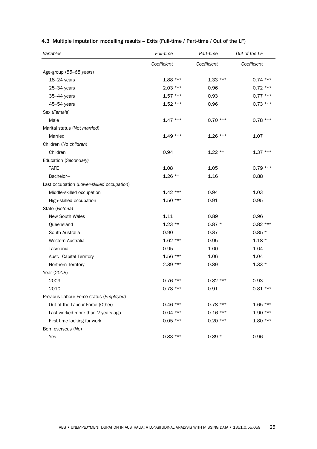| Variables                                  | Full-time   | Part-time   | Out of the LF |
|--------------------------------------------|-------------|-------------|---------------|
|                                            | Coefficient | Coefficient | Coefficient   |
| Age-group (55-65 years)                    |             |             |               |
| $18-24$ years                              | $1.88***$   | $1.33***$   | $0.74***$     |
| $25 - 34$ years                            | $2.03***$   | 0.96        | $0.72***$     |
| 35-44 years                                | $1.57***$   | 0.93        | $0.77***$     |
| 45-54 years                                | $1.52***$   | 0.96        | $0.73***$     |
| Sex (Female)                               |             |             |               |
| Male                                       | $1.47***$   | $0.70***$   | $0.78***$     |
| Marital status (Not married)               |             |             |               |
| Married                                    | $1.49***$   | $1.26***$   | 1.07          |
| Children (No children)                     |             |             |               |
| Children                                   | 0.94        | $1.22**$    | $1.37***$     |
| Education (Secondary)                      |             |             |               |
| <b>TAFE</b>                                | 1.08        | 1.05        | $0.79***$     |
| Bachelor+                                  | $1.26**$    | 1.16        | 0.88          |
| Last occupation (Lower-skilled occupation) |             |             |               |
| Middle-skilled occupation                  | $1.42***$   | 0.94        | 1.03          |
| High-skilled occupation                    | $1.50***$   | 0.91        | 0.95          |
| State (Victoria)                           |             |             |               |
| <b>New South Wales</b>                     | 1.11        | 0.89        | 0.96          |
| Queensland                                 | $1.23**$    | $0.87 *$    | $0.82***$     |
| South Australia                            | 0.90        | 0.87        | $0.85*$       |
| Western Australia                          | $1.62***$   | 0.95        | $1.18*$       |
| Tasmania                                   | 0.95        | 1.00        | 1.04          |
| Aust. Capital Territory                    | $1.56***$   | 1.06        | 1.04          |
| Northern Territory                         | $2.39***$   | 0.89        | $1.33*$       |
| Year (2008)                                |             |             |               |
| 2009                                       | $0.76***$   | $0.82***$   | 0.93          |
| 2010                                       | $0.78***$   | 0.91        | $0.81***$     |
| Previous Labour Force status (Employed)    |             |             |               |
| Out of the Labour Force (Other)            | $0.46***$   | $0.78***$   | $1.65***$     |
| Last worked more than 2 years ago          | $0.04***$   | $0.16***$   | $1.90***$     |
| First time looking for work                | $0.05***$   | $0.20***$   | $1.80***$     |
| Born overseas (No)                         |             |             |               |
| Yes                                        | $0.83***$   | $0.89*$     | 0.96          |

#### 4.3 Multiple imputation modelling results – Exits (Full-time / Part-time / Out of the LF)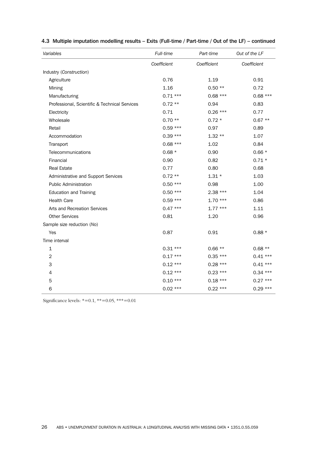| Variables                                     | Full-time   | Part-time   | Out of the LF |
|-----------------------------------------------|-------------|-------------|---------------|
|                                               | Coefficient | Coefficient | Coefficient   |
| Industry (Construction)                       |             |             |               |
| Agriculture                                   | 0.76        | 1.19        | 0.91          |
| Mining                                        | 1.16        | $0.50**$    | 0.72          |
| Manufacturing                                 | $0.71***$   | $0.68***$   | $0.68***$     |
| Professional, Scientific & Technical Services | $0.72**$    | 0.94        | 0.83          |
| Electricity                                   | 0.71        | $0.26***$   | 0.77          |
| Wholesale                                     | $0.70**$    | $0.72*$     | $0.67**$      |
| Retail                                        | $0.59***$   | 0.97        | 0.89          |
| Accommodation                                 | $0.39***$   | $1.32**$    | 1.07          |
| Transport                                     | $0.68***$   | 1.02        | 0.84          |
| Telecommunications                            | $0.68*$     | 0.90        | $0.66*$       |
| Financial                                     | 0.90        | 0.82        | $0.71 *$      |
| <b>Real Estate</b>                            | 0.77        | 0.80        | 0.68          |
| Administrative and Support Services           | $0.72**$    | $1.31 *$    | 1.03          |
| <b>Public Administration</b>                  | $0.50***$   | 0.98        | 1.00          |
| <b>Education and Training</b>                 | $0.50***$   | 2.38 ***    | 1.04          |
| <b>Health Care</b>                            | $0.59***$   | $1.70***$   | 0.86          |
| Arts and Recreation Services                  | $0.47***$   | $1.77***$   | 1.11          |
| <b>Other Services</b>                         | 0.81        | 1.20        | 0.96          |
| Sample size reduction (No)                    |             |             |               |
| Yes                                           | 0.87        | 0.91        | $0.88*$       |
| Time interval                                 |             |             |               |
| 1                                             | $0.31***$   | $0.66**$    | $0.68**$      |
| $\overline{2}$                                | $0.17***$   | $0.35***$   | $0.41***$     |
| 3                                             | $0.12***$   | $0.28***$   | $0.41***$     |
| 4                                             | $0.12***$   | $0.23***$   | $0.34***$     |
| 5                                             | $0.10***$   | $0.18***$   | $0.27***$     |
| 6                                             | $0.02$ ***  | $0.22***$   | $0.29***$     |

#### 4.3 Multiple imputation modelling results – Exits (Full-time / Part-time / Out of the LF) – continued

Significance levels: \*=0.1, \*\*=0.05, \*\*\*=0.01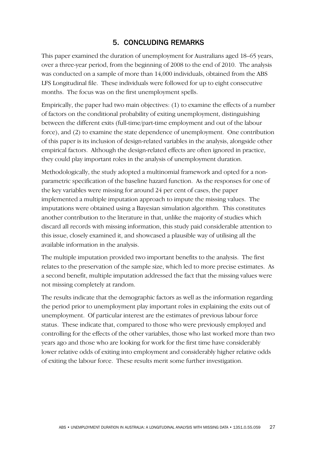# 5. CONCLUDING REMARKS

This paper examined the duration of unemployment for Australians aged 18–65 years, over a three-year period, from the beginning of 2008 to the end of 2010. The analysis was conducted on a sample of more than 14,000 individuals, obtained from the ABS LFS Longitudinal file. These individuals were followed for up to eight consecutive months. The focus was on the first unemployment spells.

Empirically, the paper had two main objectives: (1) to examine the effects of a number of factors on the conditional probability of exiting unemployment, distinguishing between the different exits (full-time/part-time employment and out of the labour force), and (2) to examine the state dependence of unemployment. One contribution of this paper is its inclusion of design-related variables in the analysis, alongside other empirical factors. Although the design-related effects are often ignored in practice, they could play important roles in the analysis of unemployment duration.

Methodologically, the study adopted a multinomial framework and opted for a nonparametric specification of the baseline hazard function. As the responses for one of the key variables were missing for around 24 per cent of cases, the paper implemented a multiple imputation approach to impute the missing values. The imputations were obtained using a Bayesian simulation algorithm. This constitutes another contribution to the literature in that, unlike the majority of studies which discard all records with missing information, this study paid considerable attention to this issue, closely examined it, and showcased a plausible way of utilising all the available information in the analysis.

The multiple imputation provided two important benefits to the analysis. The first relates to the preservation of the sample size, which led to more precise estimates. As a second benefit, multiple imputation addressed the fact that the missing values were not missing completely at random.

The results indicate that the demographic factors as well as the information regarding the period prior to unemployment play important roles in explaining the exits out of unemployment. Of particular interest are the estimates of previous labour force status. These indicate that, compared to those who were previously employed and controlling for the effects of the other variables, those who last worked more than two years ago and those who are looking for work for the first time have considerably lower relative odds of exiting into employment and considerably higher relative odds of exiting the labour force. These results merit some further investigation.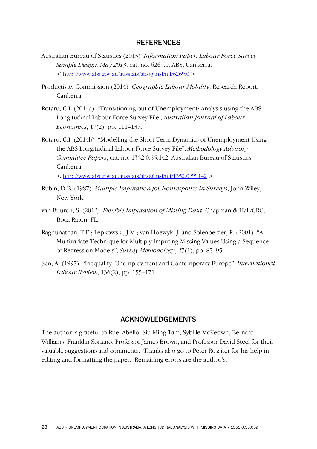### **REFERENCES**

- Australian Bureau of Statistics (2013) *Information Paper: Labour Force Survey Sample Design, May 2013*, cat. no. 6269.0, ABS, Canberra.  $\langle h_{\text{t}}(t) \rangle$  /www.abs.gov.au/ausstats/abs( $\hat{\omega}$ .nsf/mf/6269.0  $>$
- Productivity Commission (2014) *Geographic Labour Mobility*, Research Report, Canberra.
- Rotaru, C.I. (2014a) "Transitioning out of Unemployment: Analysis using the ABS Longitudinal Labour Force Survey File', *Australian Journal of Labour Economics*, 17(2), pp. 111–137.
- Rotaru, C.I. (2014b) "Modelling the Short-Term Dynamics of Unemployment Using the ABS Longitudinal Labour Force Survey File", *Methodology Advisory Committee Papers*, cat. no. 1352.0.55.142, Australian Bureau of Statistics, Canberra.

 $\langle h_{\text{t}}(t) \rangle = \frac{h_{\text{t}}(t)}{h_{\text{t}}(t)}$  \text{\stats} ausstats/abs(\text{\stats} nsf/mf/1352.0.55.142 >

- Rubin, D.B. (1987) *Multiple Imputation for Nonresponse in Surveys*, John Wiley, New York.
- van Buuren, S. (2012) *Flexible Imputation of Missing Data*, Chapman & Hall/CRC, Boca Raton, FL.
- Raghunathan, T.E.; Lepkowski, J.M.; van Hoewyk, J. and Solenberger, P. (2001) "A Multivariate Technique for Multiply Imputing Missing Values Using a Sequence of Regression Models", *Survey Methodology*, 27(1), pp. 85–95.
- Sen, A. (1997) "Inequality, Unemployment and Contemporary Europe", *International Labour Review*, 136(2), pp. 155–171.

## ACKNOWLEDGEMENTS

The author is grateful to Ruel Abello, Siu-Ming Tam, Sybille McKeown, Bernard Williams, Franklin Soriano, Professor James Brown, and Professor David Steel for their valuable suggestions and comments. Thanks also go to Peter Rossiter for his help in editing and formatting the paper. Remaining errors are the author's.